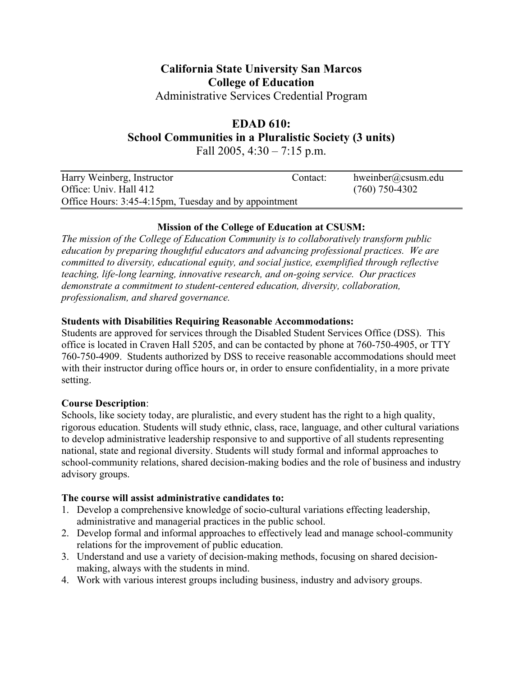# **California State University San Marcos College of Education**

Administrative Services Credential Program

# **EDAD 610:**

**School Communities in a Pluralistic Society (3 units)** 

Fall 2005,  $4:30 - 7:15$  p.m.

| Harry Weinberg, Instructor                            | Contact: | hweinber@csusm.edu |  |
|-------------------------------------------------------|----------|--------------------|--|
| Office: Univ. Hall 412                                |          | $(760)$ 750-4302   |  |
| Office Hours: 3:45-4:15pm, Tuesday and by appointment |          |                    |  |

# **Mission of the College of Education at CSUSM:**

*The mission of the College of Education Community is to collaboratively transform public education by preparing thoughtful educators and advancing professional practices. We are committed to diversity, educational equity, and social justice, exemplified through reflective teaching, life-long learning, innovative research, and on-going service. Our practices demonstrate a commitment to student-centered education, diversity, collaboration, professionalism, and shared governance.* 

# **Students with Disabilities Requiring Reasonable Accommodations:**

Students are approved for services through the Disabled Student Services Office (DSS). This office is located in Craven Hall 5205, and can be contacted by phone at 760-750-4905, or TTY 760-750-4909. Students authorized by DSS to receive reasonable accommodations should meet with their instructor during office hours or, in order to ensure confidentiality, in a more private setting.

# **Course Description**:

Schools, like society today, are pluralistic, and every student has the right to a high quality, rigorous education. Students will study ethnic, class, race, language, and other cultural variations to develop administrative leadership responsive to and supportive of all students representing national, state and regional diversity. Students will study formal and informal approaches to school-community relations, shared decision-making bodies and the role of business and industry advisory groups.

# **The course will assist administrative candidates to:**

- 1. Develop a comprehensive knowledge of socio-cultural variations effecting leadership, administrative and managerial practices in the public school.
- 2. Develop formal and informal approaches to effectively lead and manage school-community relations for the improvement of public education.
- 3. Understand and use a variety of decision-making methods, focusing on shared decisionmaking, always with the students in mind.
- 4. Work with various interest groups including business, industry and advisory groups.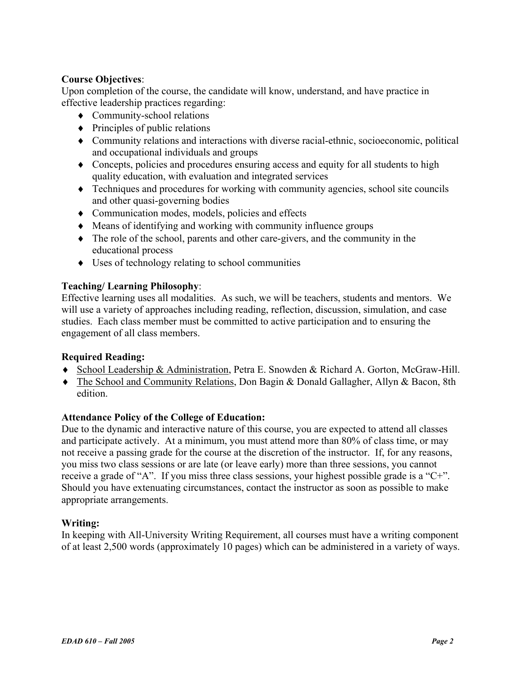#### **Course Objectives**:

Upon completion of the course, the candidate will know, understand, and have practice in effective leadership practices regarding:

- ♦ Community-school relations
- $\bullet$  Principles of public relations
- ♦ Community relations and interactions with diverse racial-ethnic, socioeconomic, political and occupational individuals and groups
- ♦ Concepts, policies and procedures ensuring access and equity for all students to high quality education, with evaluation and integrated services
- ♦ Techniques and procedures for working with community agencies, school site councils and other quasi-governing bodies
- ♦ Communication modes, models, policies and effects
- ♦ Means of identifying and working with community influence groups
- ♦ The role of the school, parents and other care-givers, and the community in the educational process
- ♦ Uses of technology relating to school communities

### **Teaching/ Learning Philosophy**:

Effective learning uses all modalities. As such, we will be teachers, students and mentors. We will use a variety of approaches including reading, reflection, discussion, simulation, and case studies. Each class member must be committed to active participation and to ensuring the engagement of all class members.

#### **Required Reading:**

- ♦ School Leadership & Administration, Petra E. Snowden & Richard A. Gorton, McGraw-Hill.
- ♦ The School and Community Relations, Don Bagin & Donald Gallagher, Allyn & Bacon, 8th edition.

#### **Attendance Policy of the College of Education:**

Due to the dynamic and interactive nature of this course, you are expected to attend all classes and participate actively. At a minimum, you must attend more than 80% of class time, or may not receive a passing grade for the course at the discretion of the instructor. If, for any reasons, you miss two class sessions or are late (or leave early) more than three sessions, you cannot receive a grade of "A". If you miss three class sessions, your highest possible grade is a "C+". Should you have extenuating circumstances, contact the instructor as soon as possible to make appropriate arrangements.

#### **Writing:**

In keeping with All-University Writing Requirement, all courses must have a writing component of at least 2,500 words (approximately 10 pages) which can be administered in a variety of ways.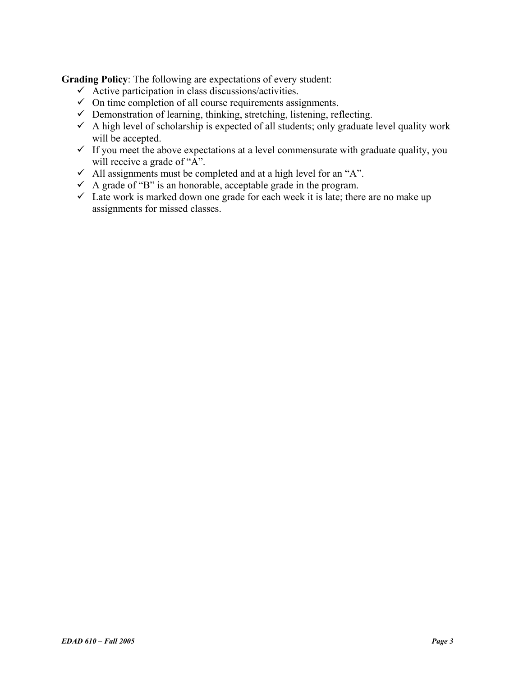**Grading Policy**: The following are expectations of every student:

- $\checkmark$  Active participation in class discussions/activities.
- $\checkmark$  On time completion of all course requirements assignments.
- $\checkmark$  Demonstration of learning, thinking, stretching, listening, reflecting.
- $\checkmark$  A high level of scholarship is expected of all students; only graduate level quality work will be accepted.
- $\checkmark$  If you meet the above expectations at a level commensurate with graduate quality, you will receive a grade of "A".
- $\checkmark$  All assignments must be completed and at a high level for an "A".
- $\checkmark$  A grade of "B" is an honorable, acceptable grade in the program.
- $\checkmark$  Late work is marked down one grade for each week it is late; there are no make up assignments for missed classes.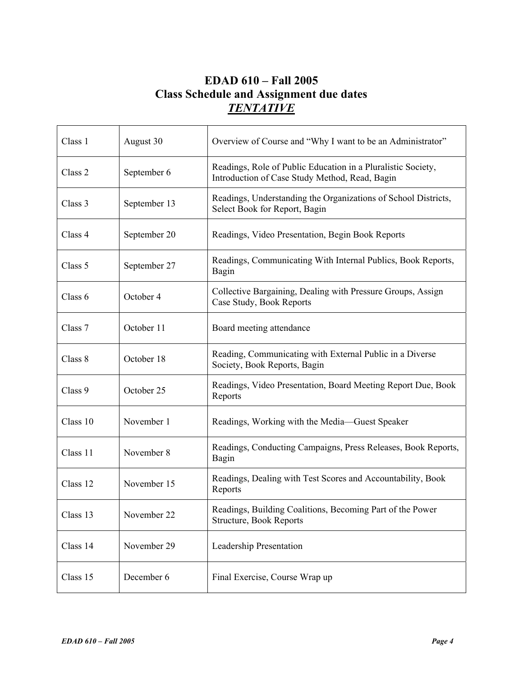# **EDAD 610 – Fall 2005 Class Schedule and Assignment due dates**  *TENTATIVE*

| Class 1  | August 30    | Overview of Course and "Why I want to be an Administrator"                                                     |
|----------|--------------|----------------------------------------------------------------------------------------------------------------|
| Class 2  | September 6  | Readings, Role of Public Education in a Pluralistic Society,<br>Introduction of Case Study Method, Read, Bagin |
| Class 3  | September 13 | Readings, Understanding the Organizations of School Districts,<br>Select Book for Report, Bagin                |
| Class 4  | September 20 | Readings, Video Presentation, Begin Book Reports                                                               |
| Class 5  | September 27 | Readings, Communicating With Internal Publics, Book Reports,<br>Bagin                                          |
| Class 6  | October 4    | Collective Bargaining, Dealing with Pressure Groups, Assign<br>Case Study, Book Reports                        |
| Class 7  | October 11   | Board meeting attendance                                                                                       |
| Class 8  | October 18   | Reading, Communicating with External Public in a Diverse<br>Society, Book Reports, Bagin                       |
| Class 9  | October 25   | Readings, Video Presentation, Board Meeting Report Due, Book<br>Reports                                        |
| Class 10 | November 1   | Readings, Working with the Media—Guest Speaker                                                                 |
| Class 11 | November 8   | Readings, Conducting Campaigns, Press Releases, Book Reports,<br>Bagin                                         |
| Class 12 | November 15  | Readings, Dealing with Test Scores and Accountability, Book<br>Reports                                         |
| Class 13 | November 22  | Readings, Building Coalitions, Becoming Part of the Power<br>Structure, Book Reports                           |
| Class 14 | November 29  | Leadership Presentation                                                                                        |
| Class 15 | December 6   | Final Exercise, Course Wrap up                                                                                 |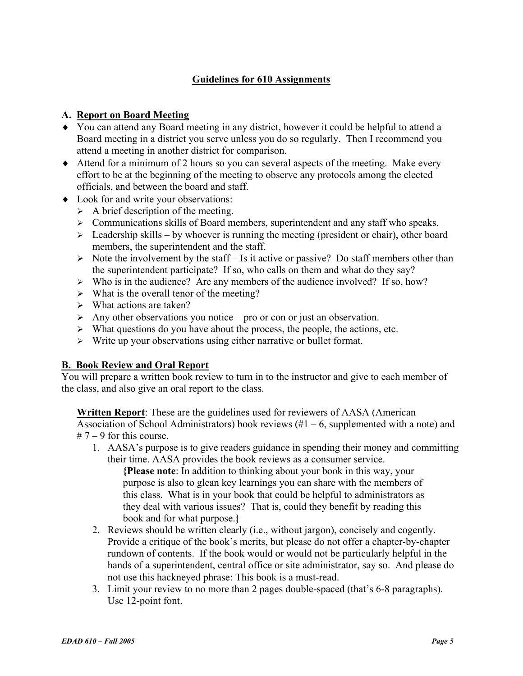### **Guidelines for 610 Assignments**

#### **A. Report on Board Meeting**

- ♦ You can attend any Board meeting in any district, however it could be helpful to attend a Board meeting in a district you serve unless you do so regularly. Then I recommend you attend a meeting in another district for comparison.
- ♦ Attend for a minimum of 2 hours so you can several aspects of the meeting. Make every effort to be at the beginning of the meeting to observe any protocols among the elected officials, and between the board and staff.
- ♦ Look for and write your observations:
	- $\triangleright$  A brief description of the meeting.
	- $\triangleright$  Communications skills of Board members, superintendent and any staff who speaks.
	- $\triangleright$  Leadership skills by whoever is running the meeting (president or chair), other board members, the superintendent and the staff.
	- $\triangleright$  Note the involvement by the staff Is it active or passive? Do staff members other than the superintendent participate? If so, who calls on them and what do they say?
	- $\triangleright$  Who is in the audience? Are any members of the audience involved? If so, how?
	- $\triangleright$  What is the overall tenor of the meeting?
	- $\triangleright$  What actions are taken?
	- $\triangleright$  Any other observations you notice pro or con or just an observation.
	- $\triangleright$  What questions do you have about the process, the people, the actions, etc.
	- $\triangleright$  Write up your observations using either narrative or bullet format.

#### **B. Book Review and Oral Report**

You will prepare a written book review to turn in to the instructor and give to each member of the class, and also give an oral report to the class.

**Written Report**: These are the guidelines used for reviewers of AASA (American Association of School Administrators) book reviews  $(\#1 - 6)$ , supplemented with a note) and  $# 7 - 9$  for this course.

1. AASA's purpose is to give readers guidance in spending their money and committing their time. AASA provides the book reviews as a consumer service.

**{Please note**: In addition to thinking about your book in this way, your purpose is also to glean key learnings you can share with the members of this class. What is in your book that could be helpful to administrators as they deal with various issues? That is, could they benefit by reading this book and for what purpose.**}**

- 2. Reviews should be written clearly (i.e., without jargon), concisely and cogently. Provide a critique of the book's merits, but please do not offer a chapter-by-chapter rundown of contents. If the book would or would not be particularly helpful in the hands of a superintendent, central office or site administrator, say so. And please do not use this hackneyed phrase: This book is a must-read.
- 3. Limit your review to no more than 2 pages double-spaced (that's 6-8 paragraphs). Use 12-point font.